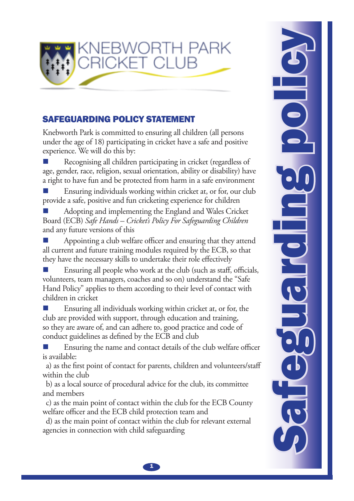

## SAFEGUARDING POLICY STATEMENT

Knebworth Park is committed to ensuring all children (all persons under the age of 18) participating in cricket have a safe and positive experience. We will do this by:

Recognising all children participating in cricket (regardless of age, gender, race, religion, sexual orientation, ability or disability) have a right to have fun and be protected from harm in a safe environment  $\mathbb{R}^3$ 

Ensuring individuals working within cricket at, or for, our club provide a safe, positive and fun cricketing experience for children  $\mathbb{R}^3$ 

Adopting and implementing the England and Wales Cricket Board (ECB) *Safe Hands – Cricket's Policy For Safeguarding Children* and any future versions of this  $\mathbb{R}^3$ 

Appointing a club welfare officer and ensuring that they attend all current and future training modules required by the ECB, so that they have the necessary skills to undertake their role effectively  $\mathbb{R}^3$ 

Ensuring all people who work at the club (such as staff, officials, volunteers, team managers, coaches and so on) understand the "Safe Hand Policy" applies to them according to their level of contact with children in cricket  $\mathbb{R}^3$ 

Ensuring all individuals working within cricket at, or for, the club are provided with support, through education and training, so they are aware of, and can adhere to, good practice and code of conduct guidelines as defined by the ECB and club  $\mathbb{R}^3$ 

Ensuring the name and contact details of the club welfare officer is available:  $\mathbb{R}^3$ 

a) as the first point of contact for parents, children and volunteers/staff within the club

b) as a local source of procedural advice for the club, its committee and members

c) as the main point of contact within the club for the ECB County welfare officer and the ECB child protection team and

d) as the main point of contact within the club for relevant external agencies in connection with child safeguarding

Safeguarding policy

 $\mathbf{1}$